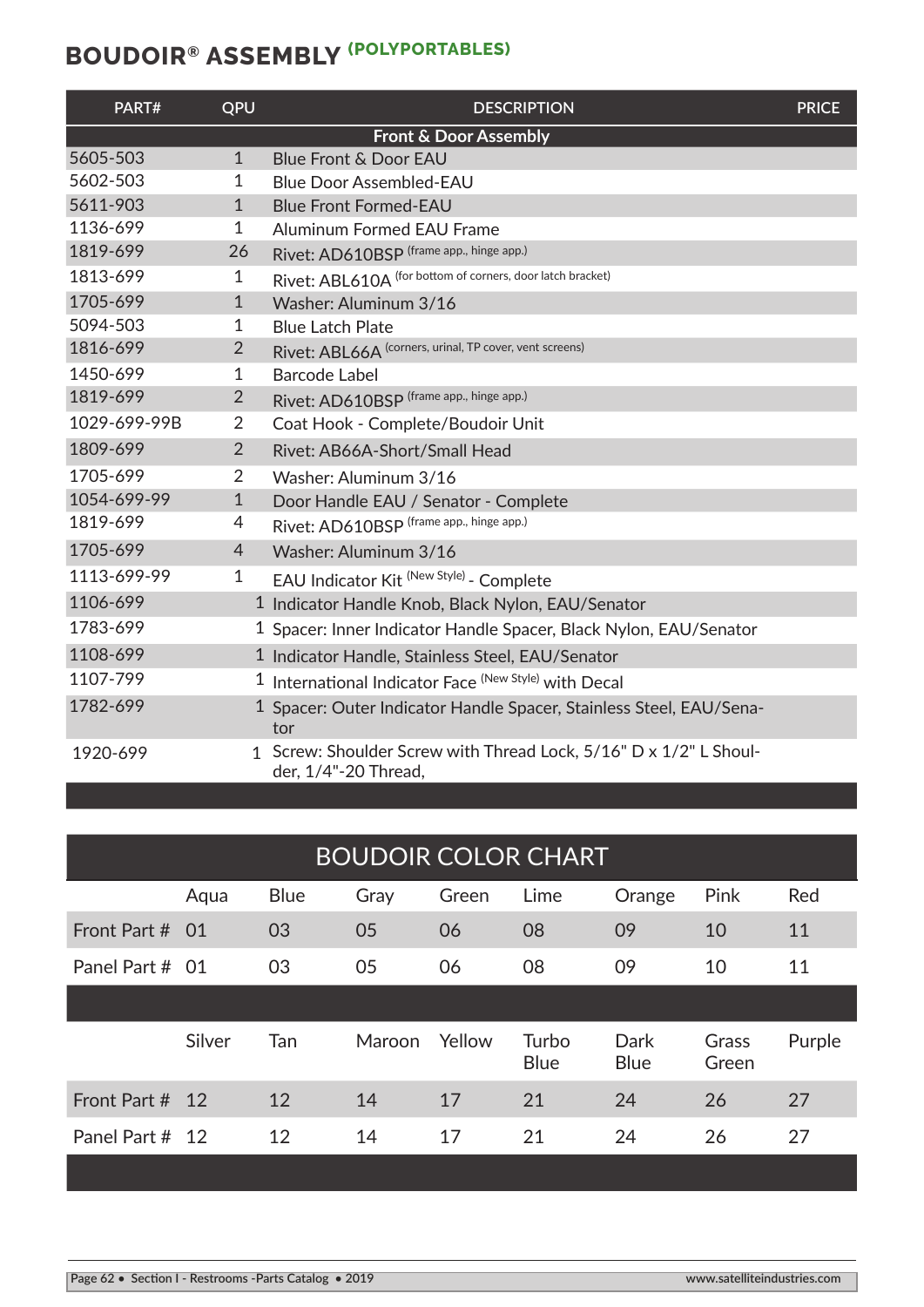| PART#                            | QPU            | <b>DESCRIPTION</b>                                                                        | <b>PRICE</b> |  |  |
|----------------------------------|----------------|-------------------------------------------------------------------------------------------|--------------|--|--|
| <b>Front &amp; Door Assembly</b> |                |                                                                                           |              |  |  |
| 5605-503                         | $\mathbf{1}$   | <b>Blue Front &amp; Door EAU</b>                                                          |              |  |  |
| 5602-503                         | 1              | <b>Blue Door Assembled-EAU</b>                                                            |              |  |  |
| 5611-903                         | $\mathbf{1}$   | <b>Blue Front Formed-EAU</b>                                                              |              |  |  |
| 1136-699                         | 1              | <b>Aluminum Formed EAU Frame</b>                                                          |              |  |  |
| 1819-699                         | 26             | Rivet: AD610BSP (frame app., hinge app.)                                                  |              |  |  |
| 1813-699                         | 1              | Rivet: ABL610A (for bottom of corners, door latch bracket)                                |              |  |  |
| 1705-699                         | $\mathbf{1}$   | Washer: Aluminum 3/16                                                                     |              |  |  |
| 5094-503                         | 1              | <b>Blue Latch Plate</b>                                                                   |              |  |  |
| 1816-699                         | $\overline{2}$ | Rivet: ABL66A (corners, urinal, TP cover, vent screens)                                   |              |  |  |
| 1450-699                         | 1              | <b>Barcode Label</b>                                                                      |              |  |  |
| 1819-699                         | $\overline{2}$ | Rivet: AD610BSP (frame app., hinge app.)                                                  |              |  |  |
| 1029-699-99B                     | 2              | Coat Hook - Complete/Boudoir Unit                                                         |              |  |  |
| 1809-699                         | $\overline{2}$ | Rivet: AB66A-Short/Small Head                                                             |              |  |  |
| 1705-699                         | 2              | Washer: Aluminum 3/16                                                                     |              |  |  |
| 1054-699-99                      | $\mathbf{1}$   | Door Handle EAU / Senator - Complete                                                      |              |  |  |
| 1819-699                         | 4              | Rivet: AD610BSP (frame app., hinge app.)                                                  |              |  |  |
| 1705-699                         | 4              | Washer: Aluminum 3/16                                                                     |              |  |  |
| 1113-699-99                      | $\mathbf{1}$   | EAU Indicator Kit <sup> (New Style)</sup> - Complete                                      |              |  |  |
| 1106-699                         |                | 1 Indicator Handle Knob, Black Nylon, EAU/Senator                                         |              |  |  |
| 1783-699                         |                | 1 Spacer: Inner Indicator Handle Spacer, Black Nylon, EAU/Senator                         |              |  |  |
| 1108-699                         |                | 1 Indicator Handle, Stainless Steel, EAU/Senator                                          |              |  |  |
| 1107-799                         |                | <sup>1</sup> International Indicator Face <sup>(New Style)</sup> with Decal               |              |  |  |
| 1782-699                         |                | 1 Spacer: Outer Indicator Handle Spacer, Stainless Steel, EAU/Sena-<br>tor                |              |  |  |
| 1920-699                         |                | 1 Screw: Shoulder Screw with Thread Lock, 5/16" D x 1/2" L Shoul-<br>der, 1/4"-20 Thread, |              |  |  |

| <b>BOUDOIR COLOR CHART</b> |        |             |        |        |                      |                     |                |        |
|----------------------------|--------|-------------|--------|--------|----------------------|---------------------|----------------|--------|
|                            | Aqua   | <b>Blue</b> | Gray   | Green  | Lime                 | Orange              | Pink           | Red    |
| Front Part #               | -01    | 03          | 05     | 06     | 08                   | 09                  | 10             | 11     |
| Panel Part # 01            |        | 03          | 05     | 06     | 08                   | 09                  | 10             | 11     |
|                            |        |             |        |        |                      |                     |                |        |
|                            | Silver | Tan         | Maroon | Yellow | Turbo<br><b>Blue</b> | Dark<br><b>Blue</b> | Grass<br>Green | Purple |
| Front Part #               | 12     | 12          | 14     | 17     | 21                   | 24                  | 26             | 27     |
| Panel Part # 12            |        | 12          | 14     | 17     | 21                   | 24                  | 26             | 27     |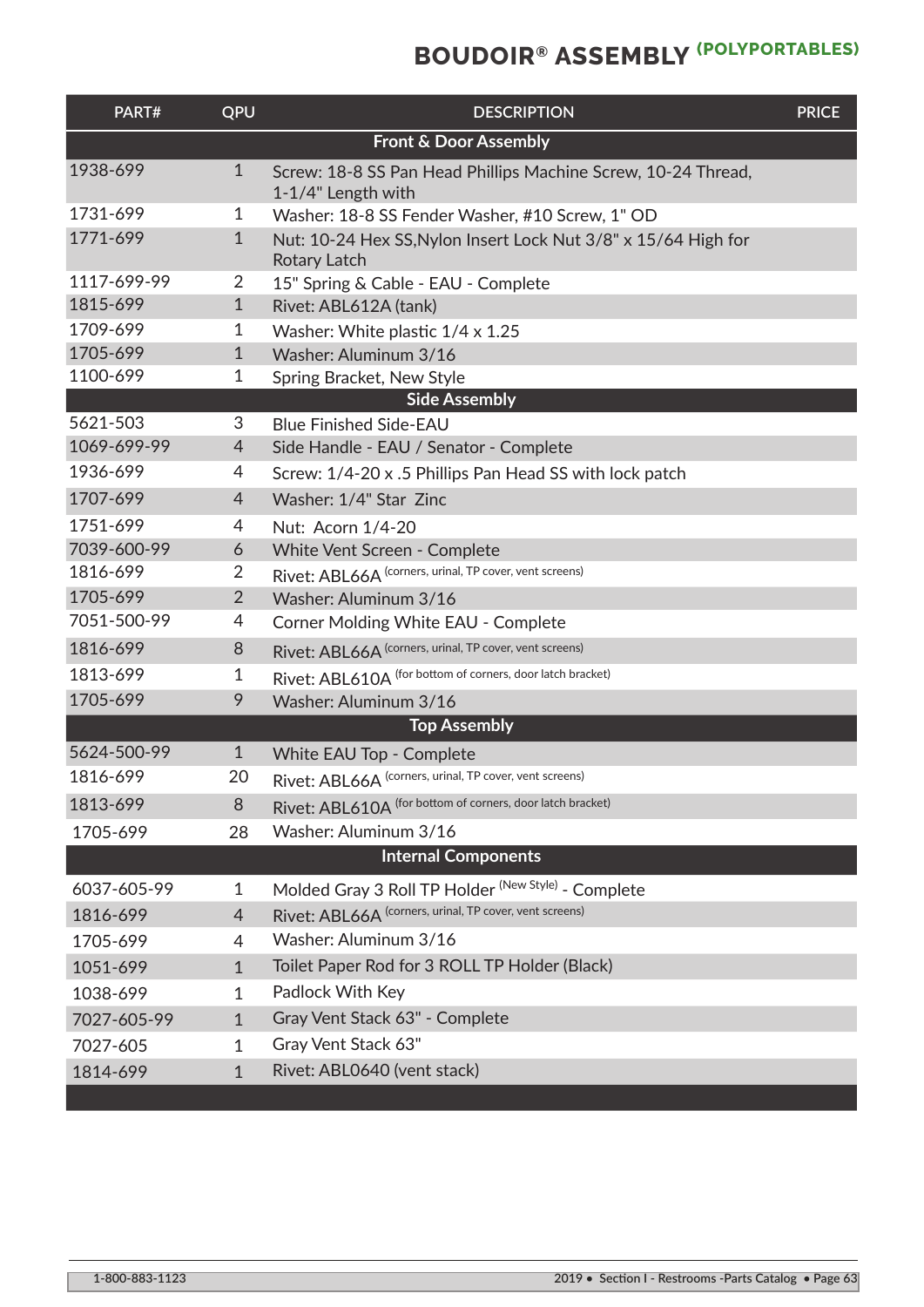| PART#                            | QPU            | <b>DESCRIPTION</b>                                                                  | <b>PRICE</b> |  |  |
|----------------------------------|----------------|-------------------------------------------------------------------------------------|--------------|--|--|
| <b>Front &amp; Door Assembly</b> |                |                                                                                     |              |  |  |
| 1938-699                         | $\mathbf{1}$   | Screw: 18-8 SS Pan Head Phillips Machine Screw, 10-24 Thread,<br>1-1/4" Length with |              |  |  |
| 1731-699                         | 1              | Washer: 18-8 SS Fender Washer, #10 Screw, 1" OD                                     |              |  |  |
| 1771-699                         | $\mathbf{1}$   | Nut: 10-24 Hex SS, Nylon Insert Lock Nut 3/8" x 15/64 High for<br>Rotary Latch      |              |  |  |
| 1117-699-99                      | 2              | 15" Spring & Cable - EAU - Complete                                                 |              |  |  |
| 1815-699                         | $\mathbf{1}$   | Rivet: ABL612A (tank)                                                               |              |  |  |
| 1709-699                         | 1              | Washer: White plastic 1/4 x 1.25                                                    |              |  |  |
| 1705-699                         | $\mathbf{1}$   | Washer: Aluminum 3/16                                                               |              |  |  |
| 1100-699                         | 1              | Spring Bracket, New Style                                                           |              |  |  |
|                                  |                | <b>Side Assembly</b>                                                                |              |  |  |
| 5621-503<br>1069-699-99          | 3              | <b>Blue Finished Side-EAU</b>                                                       |              |  |  |
|                                  | 4              | Side Handle - EAU / Senator - Complete                                              |              |  |  |
| 1936-699                         | 4              | Screw: 1/4-20 x .5 Phillips Pan Head SS with lock patch                             |              |  |  |
| 1707-699                         | 4              | Washer: 1/4" Star Zinc                                                              |              |  |  |
| 1751-699                         | 4              | Nut: Acorn 1/4-20                                                                   |              |  |  |
| 7039-600-99                      | 6              | White Vent Screen - Complete                                                        |              |  |  |
| 1816-699                         | 2              | Rivet: ABL66A (corners, urinal, TP cover, vent screens)                             |              |  |  |
| 1705-699                         | $\overline{2}$ | Washer: Aluminum 3/16                                                               |              |  |  |
| 7051-500-99                      | 4              | Corner Molding White EAU - Complete                                                 |              |  |  |
| 1816-699                         | 8              | Rivet: ABL66A (corners, urinal, TP cover, vent screens)                             |              |  |  |
| 1813-699                         | 1              | Rivet: ABL610A (for bottom of corners, door latch bracket)                          |              |  |  |
| 1705-699                         | 9              | Washer: Aluminum 3/16                                                               |              |  |  |
|                                  |                | <b>Top Assembly</b>                                                                 |              |  |  |
| 5624-500-99                      | $\mathbf{1}$   | White EAU Top - Complete                                                            |              |  |  |
| 1816-699                         | 20             | Rivet: ABL66A (corners, urinal, TP cover, vent screens)                             |              |  |  |
| 1813-699                         | 8              | Rivet: ABL610A (for bottom of corners, door latch bracket)                          |              |  |  |
| 1705-699                         | 28             | Washer: Aluminum 3/16                                                               |              |  |  |
|                                  |                | <b>Internal Components</b>                                                          |              |  |  |
| 6037-605-99                      | 1              | Molded Gray 3 Roll TP Holder <sup>(New Style)</sup> - Complete                      |              |  |  |
| 1816-699                         | 4              | Rivet: ABL66A (corners, urinal, TP cover, vent screens)                             |              |  |  |
| 1705-699                         | 4              | Washer: Aluminum 3/16                                                               |              |  |  |
| 1051-699                         | $\mathbf{1}$   | Toilet Paper Rod for 3 ROLL TP Holder (Black)                                       |              |  |  |
| 1038-699                         | $\mathbf{1}$   | Padlock With Key                                                                    |              |  |  |
| 7027-605-99                      | $\mathbf{1}$   | Gray Vent Stack 63" - Complete                                                      |              |  |  |
| 7027-605                         | 1              | Gray Vent Stack 63"                                                                 |              |  |  |
| 1814-699                         | $\mathbf{1}$   | Rivet: ABL0640 (vent stack)                                                         |              |  |  |
|                                  |                |                                                                                     |              |  |  |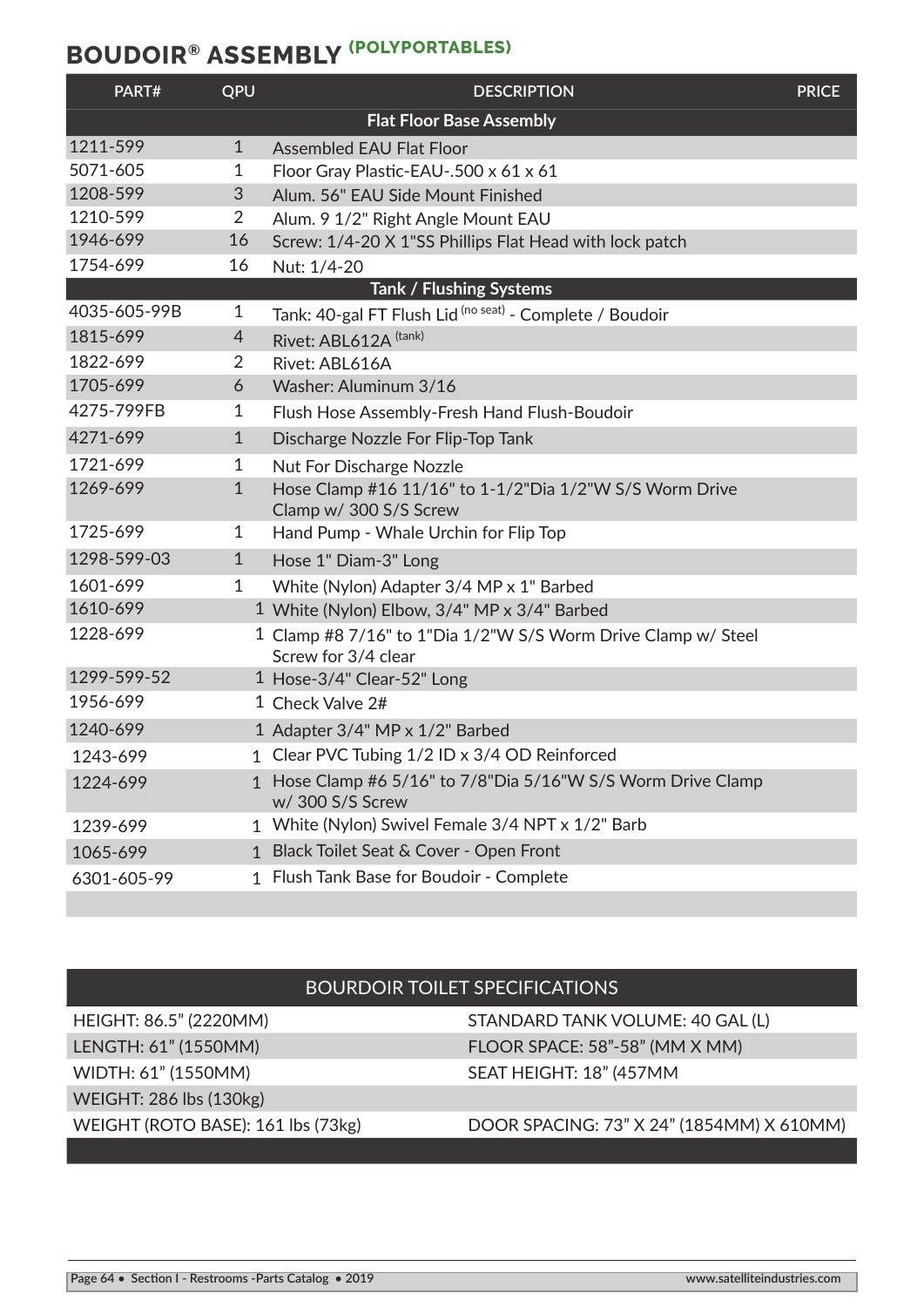| PART#        | QPU            | <b>DESCRIPTION</b>                                                                   | <b>PRICE</b> |
|--------------|----------------|--------------------------------------------------------------------------------------|--------------|
|              |                | <b>Flat Floor Base Assembly</b>                                                      |              |
| 1211-599     | $\mathbf{1}$   | <b>Assembled EAU Flat Floor</b>                                                      |              |
| 5071-605     | 1              | Floor Gray Plastic-EAU-.500 x 61 x 61                                                |              |
| 1208-599     | 3              | Alum. 56" EAU Side Mount Finished                                                    |              |
| 1210-599     | $\overline{2}$ | Alum. 9 1/2" Right Angle Mount EAU                                                   |              |
| 1946-699     | 16             | Screw: 1/4-20 X 1"SS Phillips Flat Head with lock patch                              |              |
| 1754-699     | 16             | Nut: 1/4-20                                                                          |              |
|              |                | Tank / Flushing Systems                                                              |              |
| 4035-605-99B | $\mathbf{1}$   | Tank: 40-gal FT Flush Lid (no seat) - Complete / Boudoir                             |              |
| 1815-699     | $\overline{4}$ | Rivet: ABL612A (tank)                                                                |              |
| 1822-699     | 2              | Rivet: ABL616A                                                                       |              |
| 1705-699     | 6              | Washer: Aluminum 3/16                                                                |              |
| 4275-799FB   | 1              | Flush Hose Assembly-Fresh Hand Flush-Boudoir                                         |              |
| 4271-699     | $\mathbf{1}$   | Discharge Nozzle For Flip-Top Tank                                                   |              |
| 1721-699     | 1              | <b>Nut For Discharge Nozzle</b>                                                      |              |
| 1269-699     | $\mathbf 1$    | Hose Clamp #16 11/16" to 1-1/2"Dia 1/2"W S/S Worm Drive<br>Clamp w/ 300 S/S Screw    |              |
| 1725-699     | 1              | Hand Pump - Whale Urchin for Flip Top                                                |              |
| 1298-599-03  | 1              | Hose 1" Diam-3" Long                                                                 |              |
| 1601-699     | 1              | White (Nylon) Adapter 3/4 MP x 1" Barbed                                             |              |
| 1610-699     |                | 1 White (Nylon) Elbow, 3/4" MP x 3/4" Barbed                                         |              |
| 1228-699     |                | 1 Clamp #8 7/16" to 1"Dia 1/2"W S/S Worm Drive Clamp w/ Steel<br>Screw for 3/4 clear |              |
| 1299-599-52  |                | 1 Hose-3/4" Clear-52" Long                                                           |              |
| 1956-699     |                | 1 Check Valve 2#                                                                     |              |
| 1240-699     |                | 1 Adapter 3/4" MP x 1/2" Barbed                                                      |              |
| 1243-699     |                | 1 Clear PVC Tubing 1/2 ID x 3/4 OD Reinforced                                        |              |
| 1224-699     |                | 1 Hose Clamp #6 5/16" to 7/8"Dia 5/16"W S/S Worm Drive Clamp<br>w/ 300 S/S Screw     |              |
| 1239-699     |                | 1 White (Nylon) Swivel Female 3/4 NPT x 1/2" Barb                                    |              |
| 1065-699     |                | 1 Black Toilet Seat & Cover - Open Front                                             |              |
| 6301-605-99  |                | 1 Flush Tank Base for Boudoir - Complete                                             |              |
|              |                |                                                                                      |              |

## BOURDOIR TOILET SPECIFICATIONS

WEIGHT: 286 lbs (130kg)

HEIGHT: 86.5" (2220MM) STANDARD TANK VOLUME: 40 GAL (L) LENGTH: 61" (1550MM) FLOOR SPACE: 58"-58" (MM X MM) WIDTH: 61" (1550MM) SEAT HEIGHT: 18" (457MM

### WEIGHT (ROTO BASE): 161 lbs (73kg) DOOR SPACING: 73" X 24" (1854MM) X 610MM)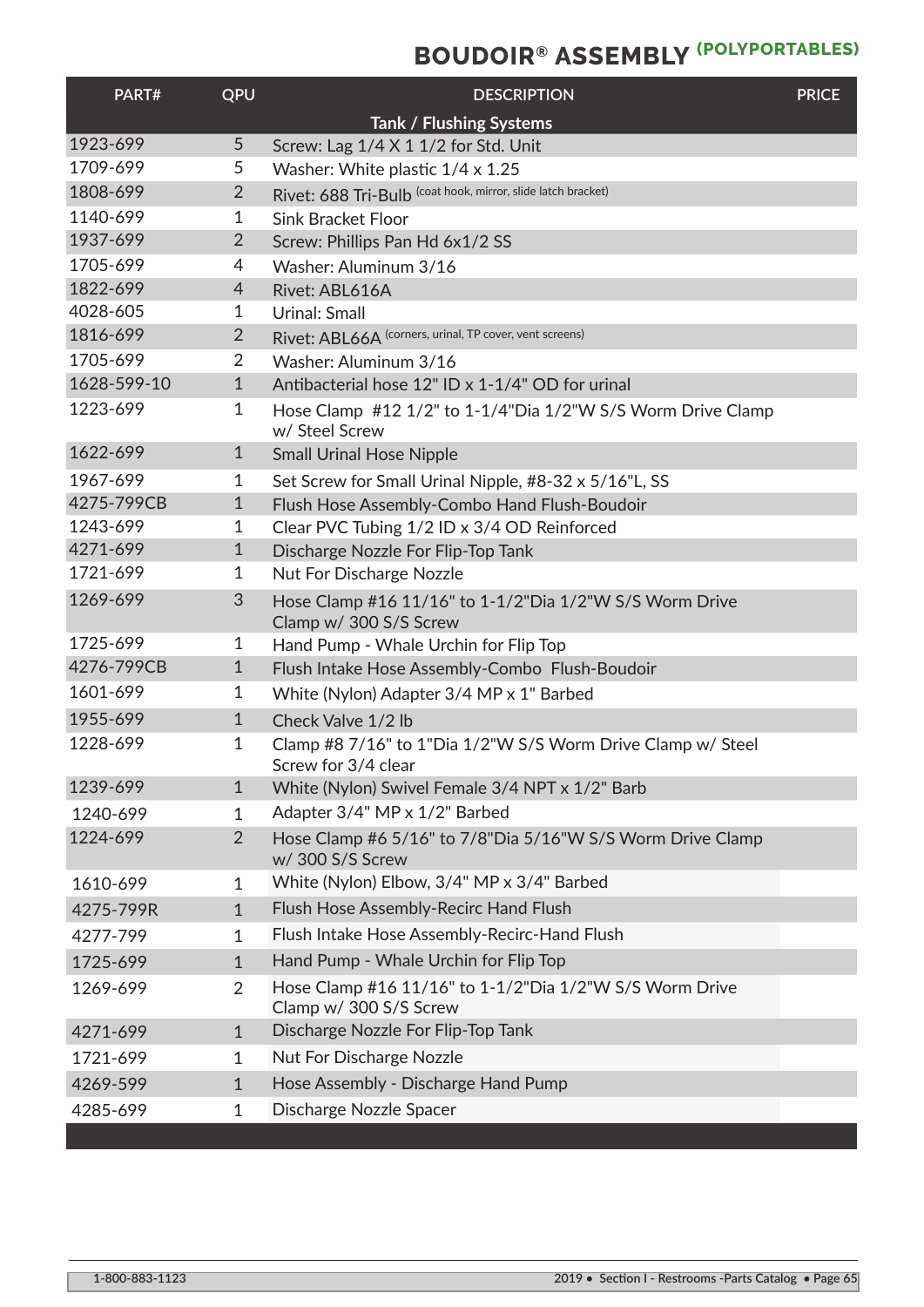| PART#       | QPU            | <b>DESCRIPTION</b>                                                                 | <b>PRICE</b> |
|-------------|----------------|------------------------------------------------------------------------------------|--------------|
|             |                | Tank / Flushing Systems                                                            |              |
| 1923-699    | 5              | Screw: Lag 1/4 X 1 1/2 for Std. Unit                                               |              |
| 1709-699    | 5              | Washer: White plastic 1/4 x 1.25                                                   |              |
| 1808-699    | $\overline{2}$ | Rivet: 688 Tri-Bulb (coat hook, mirror, slide latch bracket)                       |              |
| 1140-699    | 1              | <b>Sink Bracket Floor</b>                                                          |              |
| 1937-699    | $\overline{2}$ | Screw: Phillips Pan Hd 6x1/2 SS                                                    |              |
| 1705-699    | 4              | Washer: Aluminum 3/16                                                              |              |
| 1822-699    | 4              | Rivet: ABL616A                                                                     |              |
| 4028-605    | 1              | <b>Urinal: Small</b>                                                               |              |
| 1816-699    | $\overline{2}$ | Rivet: ABL66A (corners, urinal, TP cover, vent screens)                            |              |
| 1705-699    | $\overline{2}$ | Washer: Aluminum 3/16                                                              |              |
| 1628-599-10 | $\mathbf{1}$   | Antibacterial hose 12" ID x 1-1/4" OD for urinal                                   |              |
| 1223-699    | 1              | Hose Clamp #12 1/2" to 1-1/4"Dia 1/2"W S/S Worm Drive Clamp<br>w/ Steel Screw      |              |
| 1622-699    | $\mathbf{1}$   | <b>Small Urinal Hose Nipple</b>                                                    |              |
| 1967-699    | 1              | Set Screw for Small Urinal Nipple, #8-32 x 5/16"L, SS                              |              |
| 4275-799CB  | $\mathbf{1}$   | Flush Hose Assembly-Combo Hand Flush-Boudoir                                       |              |
| 1243-699    | 1              | Clear PVC Tubing 1/2 ID x 3/4 OD Reinforced                                        |              |
| 4271-699    | $\mathbf{1}$   | Discharge Nozzle For Flip-Top Tank                                                 |              |
| 1721-699    | 1              | <b>Nut For Discharge Nozzle</b>                                                    |              |
| 1269-699    | 3              | Hose Clamp #16 11/16" to 1-1/2"Dia 1/2"W S/S Worm Drive<br>Clamp w/ 300 S/S Screw  |              |
| 1725-699    | 1              | Hand Pump - Whale Urchin for Flip Top                                              |              |
| 4276-799CB  | $\mathbf 1$    | Flush Intake Hose Assembly-Combo Flush-Boudoir                                     |              |
| 1601-699    | 1              | White (Nylon) Adapter 3/4 MP x 1" Barbed                                           |              |
| 1955-699    | $\mathbf{1}$   | Check Valve 1/2 lb                                                                 |              |
| 1228-699    | 1              | Clamp #8 7/16" to 1"Dia 1/2"W S/S Worm Drive Clamp w/ Steel<br>Screw for 3/4 clear |              |
| 1239-699    | $\mathbf{1}$   | White (Nylon) Swivel Female 3/4 NPT x 1/2" Barb                                    |              |
| 1240-699    | $\mathbf{1}$   | Adapter 3/4" MP x 1/2" Barbed                                                      |              |
| 1224-699    | $\overline{2}$ | Hose Clamp #6 5/16" to 7/8"Dia 5/16"W S/S Worm Drive Clamp<br>w/ 300 S/S Screw     |              |
| 1610-699    | $\mathbf{1}$   | White (Nylon) Elbow, 3/4" MP x 3/4" Barbed                                         |              |
| 4275-799R   | $\mathbf{1}$   | Flush Hose Assembly-Recirc Hand Flush                                              |              |
| 4277-799    | $\mathbf{1}$   | Flush Intake Hose Assembly-Recirc-Hand Flush                                       |              |
| 1725-699    | $\mathbf{1}$   | Hand Pump - Whale Urchin for Flip Top                                              |              |
| 1269-699    | $\overline{2}$ | Hose Clamp #16 11/16" to 1-1/2"Dia 1/2"W S/S Worm Drive<br>Clamp w/ 300 S/S Screw  |              |
| 4271-699    | $\mathbf{1}$   | Discharge Nozzle For Flip-Top Tank                                                 |              |
| 1721-699    | $\mathbf{1}$   | <b>Nut For Discharge Nozzle</b>                                                    |              |
| 4269-599    | $\mathbf{1}$   | Hose Assembly - Discharge Hand Pump                                                |              |
| 4285-699    | $\mathbf{1}$   | Discharge Nozzle Spacer                                                            |              |
|             |                |                                                                                    |              |